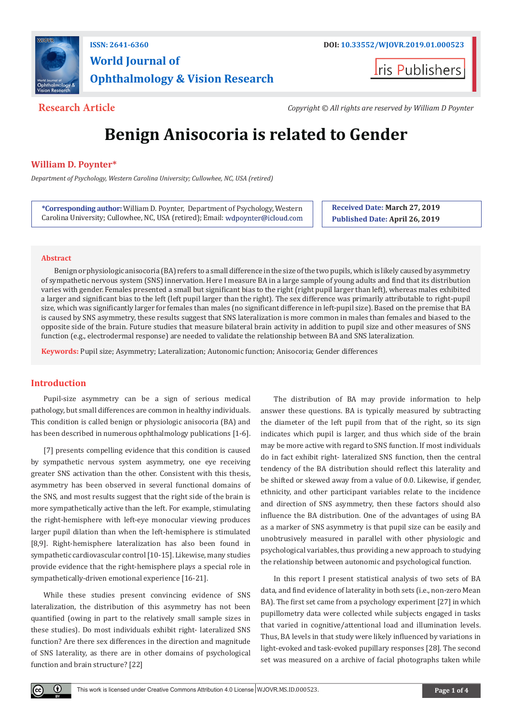

**World Journal of Ophthalmology & Vision Research**

**Iris Publishers** 

**Research Article** *Copyright © All rights are reserved by William D Poynter*

# **Benign Anisocoria is related to Gender**

# **William D. Poynter\***

*Department of Psychology, Western Carolina University; Cullowhee, NC, USA (retired)*

**\*Corresponding author:** William D. Poynter, Department of Psychology, Western Carolina University; Cullowhee, NC, USA (retired); Email: **Received Date: March 27, 2019 Published Date: April 26, 2019**

#### **Abstract**

Benign or physiologic anisocoria (BA) refers to a small difference in the size of the two pupils, which is likely caused by asymmetry of sympathetic nervous system (SNS) innervation. Here I measure BA in a large sample of young adults and find that its distribution varies with gender. Females presented a small but significant bias to the right (right pupil larger than left), whereas males exhibited a larger and significant bias to the left (left pupil larger than the right). The sex difference was primarily attributable to right-pupil size, which was significantly larger for females than males (no significant difference in left-pupil size). Based on the premise that BA is caused by SNS asymmetry, these results suggest that SNS lateralization is more common in males than females and biased to the opposite side of the brain. Future studies that measure bilateral brain activity in addition to pupil size and other measures of SNS function (e.g., electrodermal response) are needed to validate the relationship between BA and SNS lateralization.

**Keywords:** Pupil size; Asymmetry; Lateralization; Autonomic function; Anisocoria; Gender differences

# **Introduction**

 $\bf{r}$ 

Pupil-size asymmetry can be a sign of serious medical pathology, but small differences are common in healthy individuals. This condition is called benign or physiologic anisocoria (BA) and has been described in numerous ophthalmology publications [1-6].

[7] presents compelling evidence that this condition is caused by sympathetic nervous system asymmetry, one eye receiving greater SNS activation than the other. Consistent with this thesis, asymmetry has been observed in several functional domains of the SNS, and most results suggest that the right side of the brain is more sympathetically active than the left. For example, stimulating the right-hemisphere with left-eye monocular viewing produces larger pupil dilation than when the left-hemisphere is stimulated [8,9]. Right-hemisphere lateralization has also been found in sympathetic cardiovascular control [10-15]. Likewise, many studies provide evidence that the right-hemisphere plays a special role in sympathetically-driven emotional experience [16-21].

While these studies present convincing evidence of SNS lateralization, the distribution of this asymmetry has not been quantified (owing in part to the relatively small sample sizes in these studies). Do most individuals exhibit right- lateralized SNS function? Are there sex differences in the direction and magnitude of SNS laterality, as there are in other domains of psychological function and brain structure? [22]

The distribution of BA may provide information to help answer these questions. BA is typically measured by subtracting the diameter of the left pupil from that of the right, so its sign indicates which pupil is larger, and thus which side of the brain may be more active with regard to SNS function. If most individuals do in fact exhibit right- lateralized SNS function, then the central tendency of the BA distribution should reflect this laterality and be shifted or skewed away from a value of 0.0. Likewise, if gender, ethnicity, and other participant variables relate to the incidence and direction of SNS asymmetry, then these factors should also influence the BA distribution. One of the advantages of using BA as a marker of SNS asymmetry is that pupil size can be easily and unobtrusively measured in parallel with other physiologic and psychological variables, thus providing a new approach to studying the relationship between autonomic and psychological function.

In this report I present statistical analysis of two sets of BA data, and find evidence of laterality in both sets (i.e., non-zero Mean BA). The first set came from a psychology experiment [27] in which pupillometry data were collected while subjects engaged in tasks that varied in cognitive/attentional load and illumination levels. Thus, BA levels in that study were likely influenced by variations in light-evoked and task-evoked pupillary responses [28]. The second set was measured on a archive of facial photographs taken while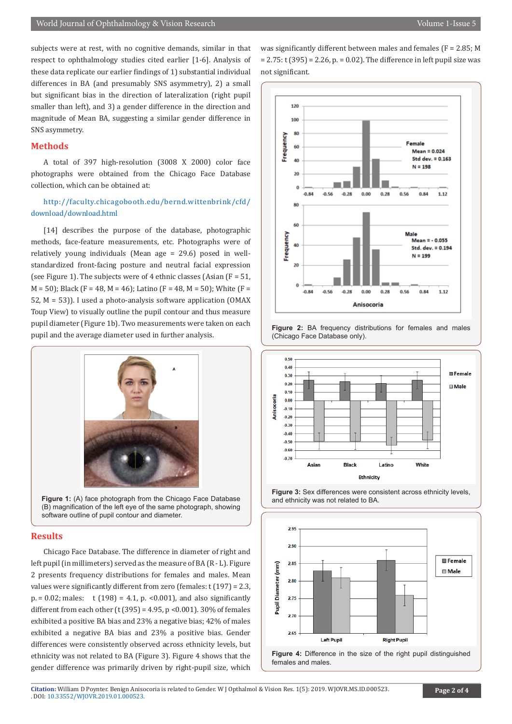subjects were at rest, with no cognitive demands, similar in that respect to ophthalmology studies cited earlier [1-6]. Analysis of these data replicate our earlier findings of 1) substantial individual differences in BA (and presumably SNS asymmetry), 2) a small but significant bias in the direction of lateralization (right pupil smaller than left), and 3) a gender difference in the direction and magnitude of Mean BA, suggesting a similar gender difference in SNS asymmetry.

#### **Methods**

A total of 397 high-resolution (3008 X 2000) color face photographs were obtained from the Chicago Face Database collection, which can be obtained at:

### [http://faculty.chicagobooth.edu/bernd.wittenbrink/cfd/](http://faculty.chicagobooth.edu/bernd.wittenbrink/cfd/download/download.html ) [download/download.html](http://faculty.chicagobooth.edu/bernd.wittenbrink/cfd/download/download.html )

[14] describes the purpose of the database, photographic methods, face-feature measurements, etc. Photographs were of relatively young individuals (Mean age = 29.6) posed in wellstandardized front-facing posture and neutral facial expression (see Figure 1). The subjects were of 4 ethnic classes (Asian  $(F = 51,$  $M = 50$ ; Black (F = 48, M = 46); Latino (F = 48, M = 50); White (F = 52, M = 53)). I used a photo-analysis software application (OMAX Toup View) to visually outline the pupil contour and thus measure pupil diameter (Figure 1b). Two measurements were taken on each pupil and the average diameter used in further analysis.



**Figure 1:** (A) face photograph from the Chicago Face Database (B) magnification of the left eye of the same photograph, showing software outline of pupil contour and diameter.

#### **Results**

Chicago Face Database. The difference in diameter of right and left pupil (in millimeters) served as the measure of BA (R - L). Figure 2 presents frequency distributions for females and males. Mean values were significantly different from zero (females:  $t(197) = 2.3$ ,  $p = 0.02$ ; males: t (198) = 4.1, p. < 0.001), and also significantly different from each other (t  $(395) = 4.95$ , p <0.001). 30% of females exhibited a positive BA bias and 23% a negative bias; 42% of males exhibited a negative BA bias and 23% a positive bias. Gender differences were consistently observed across ethnicity levels, but ethnicity was not related to BA (Figure 3). Figure 4 shows that the gender difference was primarily driven by right-pupil size, which

was significantly different between males and females (F = 2.85; M  $= 2.75$ : t (395) = 2.26, p. = 0.02). The difference in left pupil size was not significant.





**Figure 2:** BA frequency distributions for females and males (Chicago Face Database only).





females and males.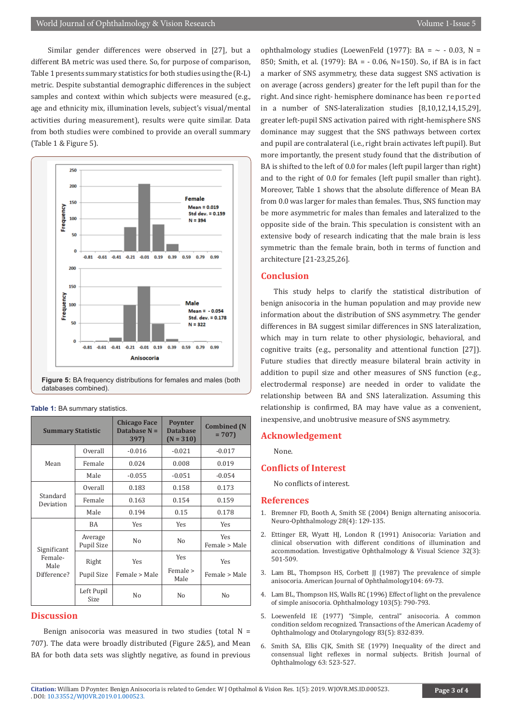Similar gender differences were observed in [27], but a different BA metric was used there. So, for purpose of comparison, Table 1 presents summary statistics for both studies using the (R-L) metric. Despite substantial demographic differences in the subject samples and context within which subjects were measured (e.g., age and ethnicity mix, illumination levels, subject's visual/mental activities during measurement), results were quite similar. Data from both studies were combined to provide an overall summary (Table 1 & Figure 5).

![](_page_2_Figure_3.jpeg)

**Figure 5:** BA frequency distributions for females and males (both databases combined).

| <b>Summary Statistic</b>                      |                       | <b>Chicago Face</b><br>Database $N =$<br>397) | <b>Poynter</b><br><b>Database</b><br>$(N = 310)$ | <b>Combined</b> (N<br>$= 707$ |
|-----------------------------------------------|-----------------------|-----------------------------------------------|--------------------------------------------------|-------------------------------|
| Mean                                          | Overall               | $-0.016$                                      | $-0.021$                                         | $-0.017$                      |
|                                               | Female                | 0.024                                         | 0.008                                            | 0.019                         |
|                                               | Male                  | $-0.055$                                      | $-0.051$                                         | $-0.054$                      |
| Standard<br>Deviation                         | Overall               | 0.183                                         | 0.158                                            | 0.173                         |
|                                               | Female                | 0.163                                         | 0.154                                            | 0.159                         |
|                                               | Male                  | 0.194                                         | 0.15                                             | 0.178                         |
| Significant<br>Female-<br>Male<br>Difference? | BA                    | Yes                                           | Yes                                              | <b>Yes</b>                    |
|                                               | Average<br>Pupil Size | N <sub>0</sub>                                | N <sub>0</sub>                                   | Yes<br>Female > Male          |
|                                               | Right                 | Yes                                           | Yes                                              | Yes                           |
|                                               | Pupil Size            | Female > Male                                 | Female ><br>Male                                 | Female > Male                 |
|                                               | Left Pupil<br>Size    | No                                            | N <sub>0</sub>                                   | No                            |

#### **Table 1:** BA summary statistics.

# **Discussion**

Benign anisocoria was measured in two studies (total  $N =$ 707). The data were broadly distributed (Figure 2&5), and Mean BA for both data sets was slightly negative, as found in previous ophthalmology studies (LoewenFeld (1977): BA =  $\sim$  - 0.03, N = 850; Smith, et al. (1979): BA = - 0.06, N=150). So, if BA is in fact a marker of SNS asymmetry, these data suggest SNS activation is on average (across genders) greater for the left pupil than for the right. And since right- hemisphere dominance has been reported in a number of SNS-lateralization studies [8,10,12,14,15,29], greater left-pupil SNS activation paired with right-hemisphere SNS dominance may suggest that the SNS pathways between cortex and pupil are contralateral (i.e., right brain activates left pupil). But more importantly, the present study found that the distribution of BA is shifted to the left of 0.0 for males (left pupil larger than right) and to the right of 0.0 for females (left pupil smaller than right). Moreover, Table 1 shows that the absolute difference of Mean BA from 0.0 was larger for males than females. Thus, SNS function may be more asymmetric for males than females and lateralized to the opposite side of the brain. This speculation is consistent with an extensive body of research indicating that the male brain is less symmetric than the female brain, both in terms of function and architecture [21-23,25,26].

#### **Conclusion**

This study helps to clarify the statistical distribution of benign anisocoria in the human population and may provide new information about the distribution of SNS asymmetry. The gender differences in BA suggest similar differences in SNS lateralization, which may in turn relate to other physiologic, behavioral, and cognitive traits (e.g., personality and attentional function [27]). Future studies that directly measure bilateral brain activity in addition to pupil size and other measures of SNS function (e.g., electrodermal response) are needed in order to validate the relationship between BA and SNS lateralization. Assuming this relationship is confirmed, BA may have value as a convenient, inexpensive, and unobtrusive measure of SNS asymmetry.

#### **Acknowledgement**

None.

#### **Conflicts of Interest**

No conflicts of interest.

#### **References**

- 1. Bremner FD, Booth A, Smith SE (2004) Benign alternating anisocoria. Neuro-Ophthalmology 28(4): 129-135.
- 2. [Ettinger ER, Wyatt HJ, London R \(1991\) Anisocoria: Variation and](https://www.ncbi.nlm.nih.gov/pubmed/15886400) [clinical observation with different conditions of illumination and](https://www.ncbi.nlm.nih.gov/pubmed/15886400) [accommodation. Investigative Ophthalmology & Visual Science 32\(3\):](https://www.ncbi.nlm.nih.gov/pubmed/15886400) [501-509.](https://www.ncbi.nlm.nih.gov/pubmed/15886400)
- 3. [Lam BL, Thompson HS, Corbett JJ \(1987\) The prevalence of simple](https://www.ncbi.nlm.nih.gov/pubmed/3605282) [anisocoria. American Journal of Ophthalmology104: 69-73.](https://www.ncbi.nlm.nih.gov/pubmed/3605282)
- 4. [Lam BL, Thompson HS, Walls RC \(1996\) Effect of light on the prevalence](https://www.ncbi.nlm.nih.gov/pubmed/8637689) [of simple anisocoria. Ophthalmology 103\(5\): 790-793.](https://www.ncbi.nlm.nih.gov/pubmed/8637689)
- 5. [Loewenfeld IE \(1977\) "Simple, central" anisocoria. A common](https://www.ncbi.nlm.nih.gov/pubmed/929802) [condition seldom recognized. Transactions of the American Academy of](https://www.ncbi.nlm.nih.gov/pubmed/929802) [Ophthalmology and Otolaryngology 83\(5\): 832-839.](https://www.ncbi.nlm.nih.gov/pubmed/929802)
- 6. [Smith SA, Ellis CJK, Smith SE \(1979\) Inequality of the direct and](https://www.ncbi.nlm.nih.gov/pubmed/465430) [consensual light reflexes in normal subjects. British Journal of](https://www.ncbi.nlm.nih.gov/pubmed/465430) [Ophthalmology 63: 523-527.](https://www.ncbi.nlm.nih.gov/pubmed/465430)